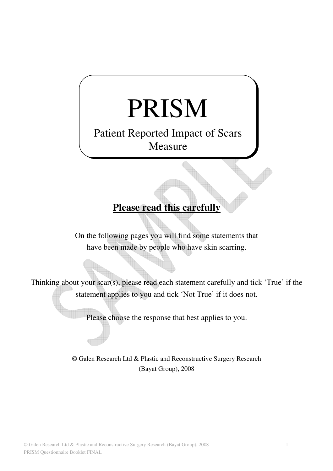## PRISM

## Patient Reported Impact of Scars Measure

## **Please read this carefully**

On the following pages you will find some statements that have been made by people who have skin scarring.

Thinking about your scar(s), please read each statement carefully and tick 'True' if the statement applies to you and tick 'Not True' if it does not.

Please choose the response that best applies to you.

© Galen Research Ltd & Plastic and Reconstructive Surgery Research (Bayat Group), 2008